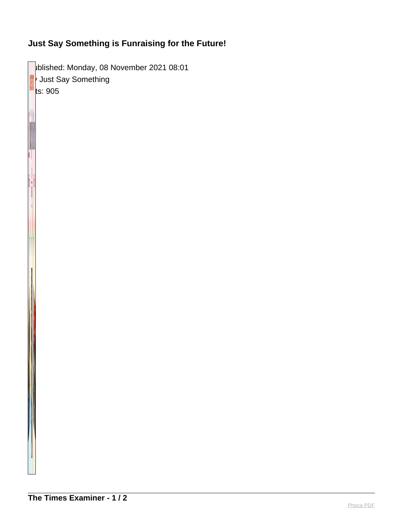## **Just Say Something is Funraising for the Future!**

blished: Monday, 08 November 2021 08:01  $\sqrt{\ }$  Just Say Something  $\|$ ts: 905